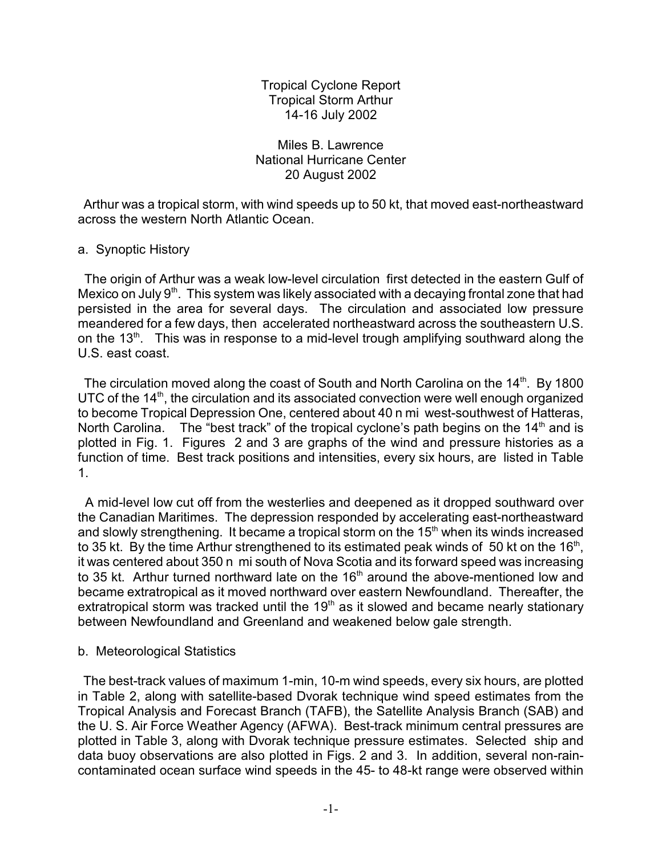Tropical Cyclone Report Tropical Storm Arthur 14-16 July 2002

Miles B. Lawrence National Hurricane Center 20 August 2002

 Arthur was a tropical storm, with wind speeds up to 50 kt, that moved east-northeastward across the western North Atlantic Ocean.

## a. Synoptic History

 The origin of Arthur was a weak low-level circulation first detected in the eastern Gulf of Mexico on July  $9<sup>th</sup>$ . This system was likely associated with a decaying frontal zone that had persisted in the area for several days. The circulation and associated low pressure meandered for a few days, then accelerated northeastward across the southeastern U.S. on the 13<sup>th</sup>. This was in response to a mid-level trough amplifying southward along the U.S. east coast.

The circulation moved along the coast of South and North Carolina on the 14<sup>th</sup>. By 1800 UTC of the  $14<sup>th</sup>$ , the circulation and its associated convection were well enough organized to become Tropical Depression One, centered about 40 n mi west-southwest of Hatteras, North Carolina. The "best track" of the tropical cyclone's path begins on the  $14<sup>th</sup>$  and is plotted in Fig. 1. Figures 2 and 3 are graphs of the wind and pressure histories as a function of time. Best track positions and intensities, every six hours, are listed in Table 1.

 A mid-level low cut off from the westerlies and deepened as it dropped southward over the Canadian Maritimes. The depression responded by accelerating east-northeastward and slowly strengthening. It became a tropical storm on the  $15<sup>th</sup>$  when its winds increased to 35 kt. By the time Arthur strengthened to its estimated peak winds of 50 kt on the 16<sup>th</sup>, it was centered about 350 n mi south of Nova Scotia and its forward speed was increasing to 35 kt. Arthur turned northward late on the  $16<sup>th</sup>$  around the above-mentioned low and became extratropical as it moved northward over eastern Newfoundland. Thereafter, the extratropical storm was tracked until the  $19<sup>th</sup>$  as it slowed and became nearly stationary between Newfoundland and Greenland and weakened below gale strength.

## b. Meteorological Statistics

 The best-track values of maximum 1-min, 10-m wind speeds, every six hours, are plotted in Table 2, along with satellite-based Dvorak technique wind speed estimates from the Tropical Analysis and Forecast Branch (TAFB), the Satellite Analysis Branch (SAB) and the U. S. Air Force Weather Agency (AFWA). Best-track minimum central pressures are plotted in Table 3, along with Dvorak technique pressure estimates. Selected ship and data buoy observations are also plotted in Figs. 2 and 3. In addition, several non-raincontaminated ocean surface wind speeds in the 45- to 48-kt range were observed within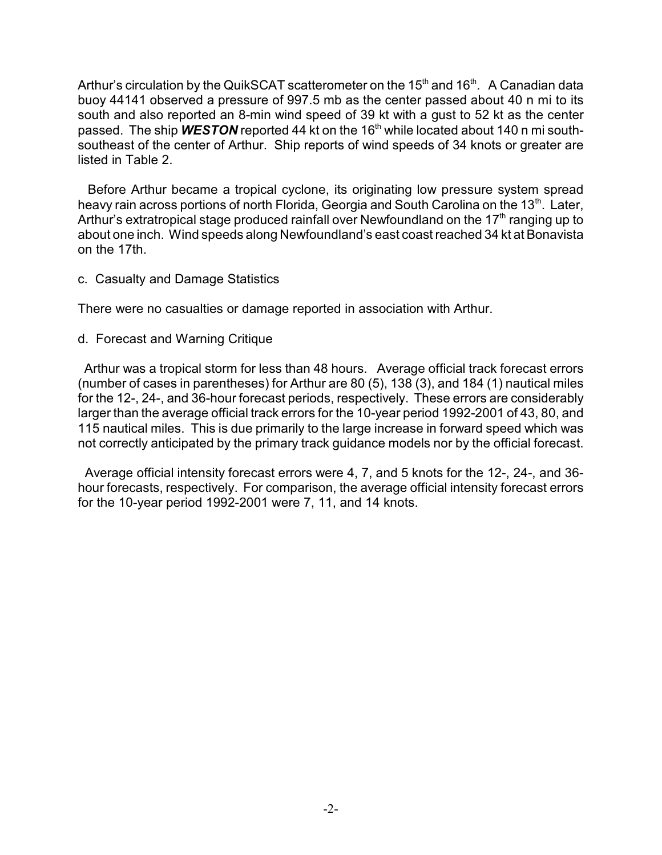Arthur's circulation by the QuikSCAT scatterometer on the 15<sup>th</sup> and 16<sup>th</sup>. A Canadian data buoy 44141 observed a pressure of 997.5 mb as the center passed about 40 n mi to its south and also reported an 8-min wind speed of 39 kt with a gust to 52 kt as the center passed. The ship **WESTON** reported 44 kt on the 16<sup>th</sup> while located about 140 n mi southsoutheast of the center of Arthur. Ship reports of wind speeds of 34 knots or greater are listed in Table 2.

 Before Arthur became a tropical cyclone, its originating low pressure system spread heavy rain across portions of north Florida, Georgia and South Carolina on the 13<sup>th</sup>. Later, Arthur's extratropical stage produced rainfall over Newfoundland on the 17<sup>th</sup> ranging up to about one inch. Wind speeds along Newfoundland's east coast reached 34 kt at Bonavista on the 17th.

## c. Casualty and Damage Statistics

There were no casualties or damage reported in association with Arthur.

d. Forecast and Warning Critique

 Arthur was a tropical storm for less than 48 hours. Average official track forecast errors (number of cases in parentheses) for Arthur are 80 (5), 138 (3), and 184 (1) nautical miles for the 12-, 24-, and 36-hour forecast periods, respectively. These errors are considerably larger than the average official track errors for the 10-year period 1992-2001 of 43, 80, and 115 nautical miles. This is due primarily to the large increase in forward speed which was not correctly anticipated by the primary track guidance models nor by the official forecast.

 Average official intensity forecast errors were 4, 7, and 5 knots for the 12-, 24-, and 36 hour forecasts, respectively. For comparison, the average official intensity forecast errors for the 10-year period 1992-2001 were 7, 11, and 14 knots.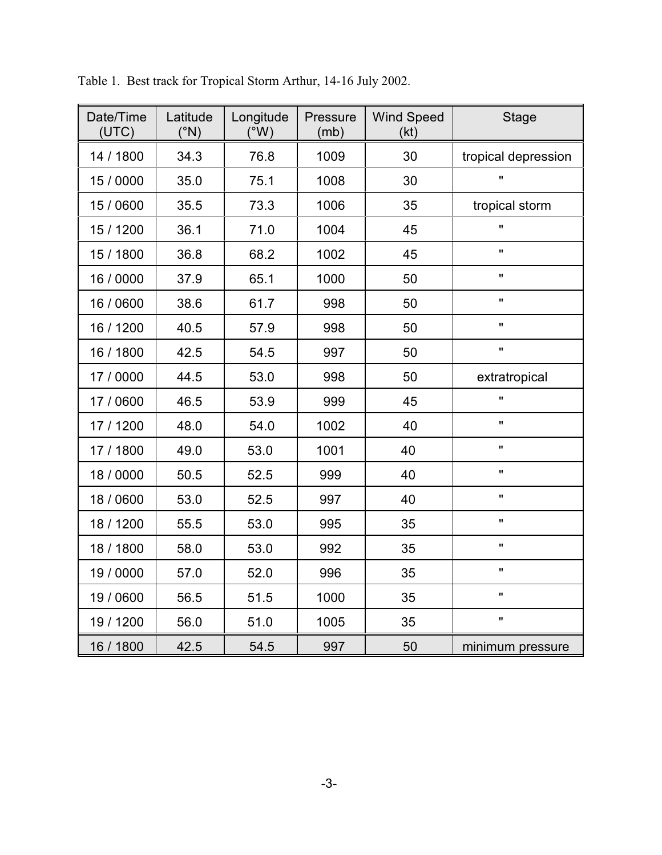| Date/Time<br>(UTC) | Latitude<br>(°N) | Longitude<br>$(^{\circ}W)$ | Pressure<br>(mb) | <b>Wind Speed</b><br>(kt) | <b>Stage</b>        |  |
|--------------------|------------------|----------------------------|------------------|---------------------------|---------------------|--|
| 14 / 1800          | 34.3             | 76.8                       | 1009             | 30                        | tropical depression |  |
| 15 / 0000          | 35.0             | 75.1                       | 1008             | 30                        | $\mathbf{u}$        |  |
| 15 / 0600          | 35.5             | 73.3                       | 1006             | 35                        | tropical storm      |  |
| 15 / 1200          | 36.1             | 71.0                       | 1004             | 45                        | $\mathbf{u}$        |  |
| 15 / 1800          | 36.8             | 68.2                       | 1002             | 45                        | $\mathbf{u}$        |  |
| 16 / 0000          | 37.9             | 65.1                       | 1000             | 50                        | $\mathbf{u}$        |  |
| 16 / 0600          | 38.6             | 61.7                       | 998              | 50                        | $\mathbf{u}$        |  |
| 16 / 1200          | 40.5             | 57.9                       | 998              | 50                        | $\mathbf{H}$        |  |
| 16 / 1800          | 42.5             | 54.5                       | 997              | 50                        | $\mathbf{u}$        |  |
| 17 / 0000          | 44.5             | 53.0                       | 998              | 50                        | extratropical       |  |
| 17 / 0600          | 46.5             | 53.9                       | 999              | 45                        | $\mathbf{u}$        |  |
| 17 / 1200          | 48.0             | 54.0                       | 1002             | 40                        | $\mathbf{u}$        |  |
| 17 / 1800          | 49.0             | 53.0                       | 1001             | 40                        | $\mathbf{H}$        |  |
| 18 / 0000          | 50.5             | 52.5                       | 999              | 40                        | $\mathbf{u}$        |  |
| 18 / 0600          | 53.0             | 52.5                       | 997              | 40                        | $\pmb{\mathsf{H}}$  |  |
| 18 / 1200          | 55.5             | 53.0                       | 995              | 35                        | $\mathbf{u}$        |  |
| 18 / 1800          | 58.0             | 53.0                       | 992              | 35                        | $\mathbf{u}$        |  |
| 19 / 0000          | 57.0             | 52.0                       | 996              | 35                        | $\pmb{\mathsf{H}}$  |  |
| 19 / 0600          | 56.5             | 51.5                       | 1000             | 35                        | $\mathbf{u}$        |  |
| 19 / 1200          | 56.0             | 51.0                       | 1005             | 35                        | $\mathbf{u}$        |  |
| 16 / 1800          | 42.5             | 54.5                       | 997              | 50                        | minimum pressure    |  |

Table 1. Best track for Tropical Storm Arthur, 14-16 July 2002.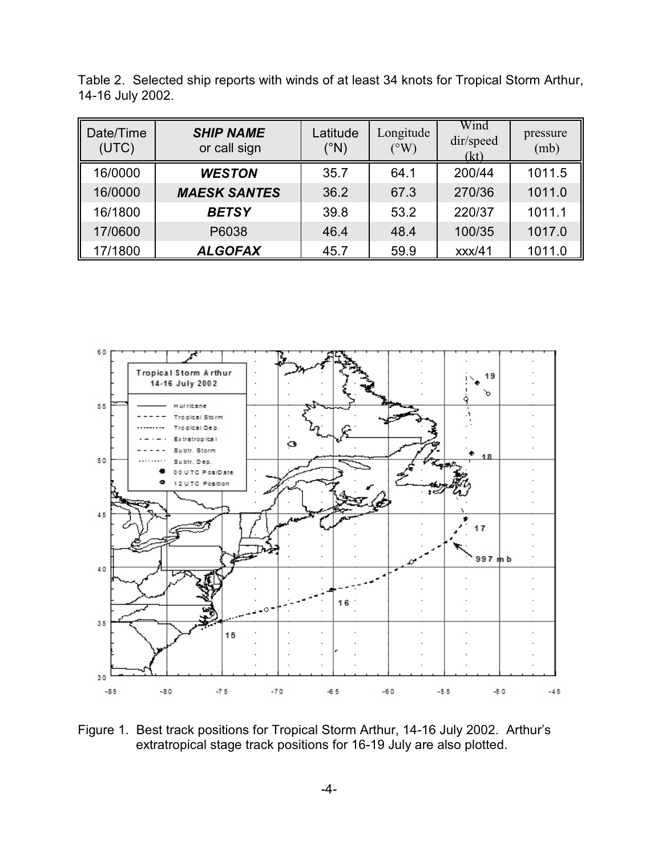| Date/Time<br>(UTC) | <b>SHIP NAME</b><br>or call sign | Latitude<br>(°N) | Longitude<br>(°W) | Wind<br>dir/speed<br>(kt) | pressure<br>(mb) |
|--------------------|----------------------------------|------------------|-------------------|---------------------------|------------------|
| 16/0000            | <b>WESTON</b>                    | 35.7             | 64.1              | 200/44                    | 1011.5           |
| 16/0000            | <b>MAESK SANTES</b>              | 36.2             | 67.3              | 270/36                    | 1011.0           |
| 16/1800            | <b>BETSY</b>                     | 39.8             | 53.2              | 220/37                    | 1011.1           |
| 17/0600            | P6038                            | 46.4             | 48.4              | 100/35                    | 1017.0           |
| 17/1800            | <b>ALGOFAX</b>                   | 45.7             | 59.9              | xxx/41                    | 1011.0           |

Table 2. Selected ship reports with winds of at least 34 knots for Tropical Storm Arthur, 14-16 July 2002.



Figure 1. Best track positions for Tropical Storm Arthur, 14-16 July 2002. Arthur's extratropical stage track positions for 16-19 July are also plotted.